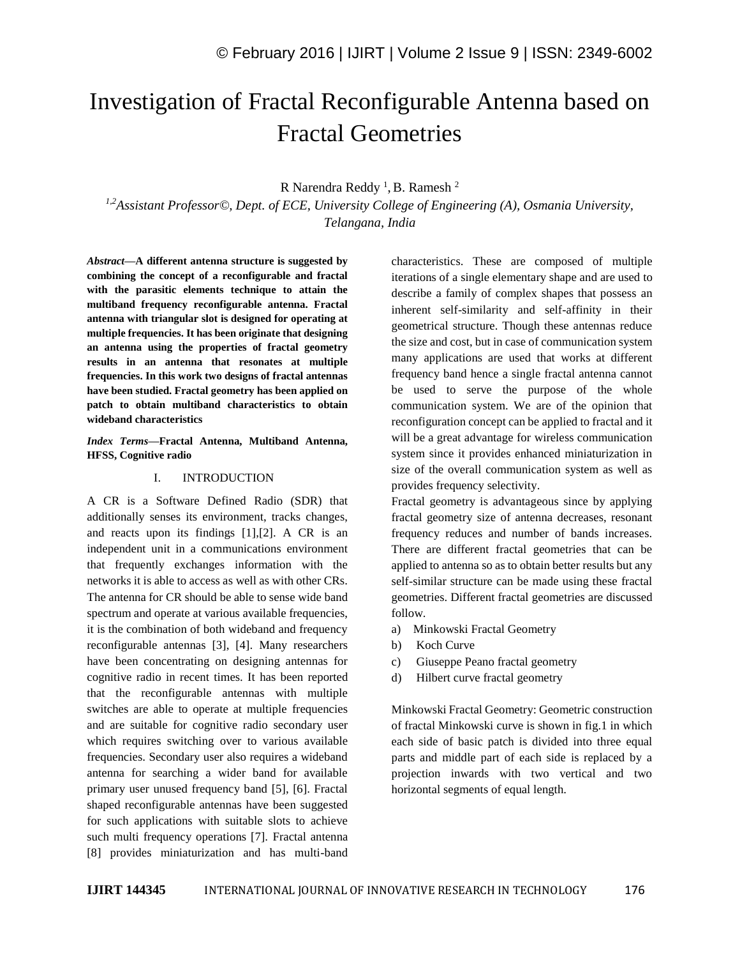# Investigation of Fractal Reconfigurable Antenna based on Fractal Geometries

## R Narendra Reddy<sup>1</sup>, B. Ramesh<sup>2</sup>

*1,2Assistant Professor©, Dept. of ECE, University College of Engineering (A), Osmania University, Telangana, India*

*Abstract—***A different antenna structure is suggested by combining the concept of a reconfigurable and fractal with the parasitic elements technique to attain the multiband frequency reconfigurable antenna. Fractal antenna with triangular slot is designed for operating at multiple frequencies. It has been originate that designing an antenna using the properties of fractal geometry results in an antenna that resonates at multiple frequencies. In this work two designs of fractal antennas have been studied. Fractal geometry has been applied on patch to obtain multiband characteristics to obtain wideband characteristics**

#### *Index Terms—***Fractal Antenna, Multiband Antenna, HFSS, Cognitive radio**

#### I. INTRODUCTION

A CR is a Software Defined Radio (SDR) that additionally senses its environment, tracks changes, and reacts upon its findings [1],[2]. A CR is an independent unit in a communications environment that frequently exchanges information with the networks it is able to access as well as with other CRs. The antenna for CR should be able to sense wide band spectrum and operate at various available frequencies, it is the combination of both wideband and frequency reconfigurable antennas [3], [4]. Many researchers have been concentrating on designing antennas for cognitive radio in recent times. It has been reported that the reconfigurable antennas with multiple switches are able to operate at multiple frequencies and are suitable for cognitive radio secondary user which requires switching over to various available frequencies. Secondary user also requires a wideband antenna for searching a wider band for available primary user unused frequency band [5], [6]. Fractal shaped reconfigurable antennas have been suggested for such applications with suitable slots to achieve such multi frequency operations [7]. Fractal antenna [8] provides miniaturization and has multi-band

characteristics. These are composed of multiple iterations of a single elementary shape and are used to describe a family of complex shapes that possess an inherent self-similarity and self-affinity in their geometrical structure. Though these antennas reduce the size and cost, but in case of communication system many applications are used that works at different frequency band hence a single fractal antenna cannot be used to serve the purpose of the whole communication system. We are of the opinion that reconfiguration concept can be applied to fractal and it will be a great advantage for wireless communication system since it provides enhanced miniaturization in size of the overall communication system as well as provides frequency selectivity.

Fractal geometry is advantageous since by applying fractal geometry size of antenna decreases, resonant frequency reduces and number of bands increases. There are different fractal geometries that can be applied to antenna so as to obtain better results but any self-similar structure can be made using these fractal geometries. Different fractal geometries are discussed follow.

- a) Minkowski Fractal Geometry
- b) Koch Curve
- c) Giuseppe Peano fractal geometry
- d) Hilbert curve fractal geometry

Minkowski Fractal Geometry: Geometric construction of fractal Minkowski curve is shown in fig.1 in which each side of basic patch is divided into three equal parts and middle part of each side is replaced by a projection inwards with two vertical and two horizontal segments of equal length.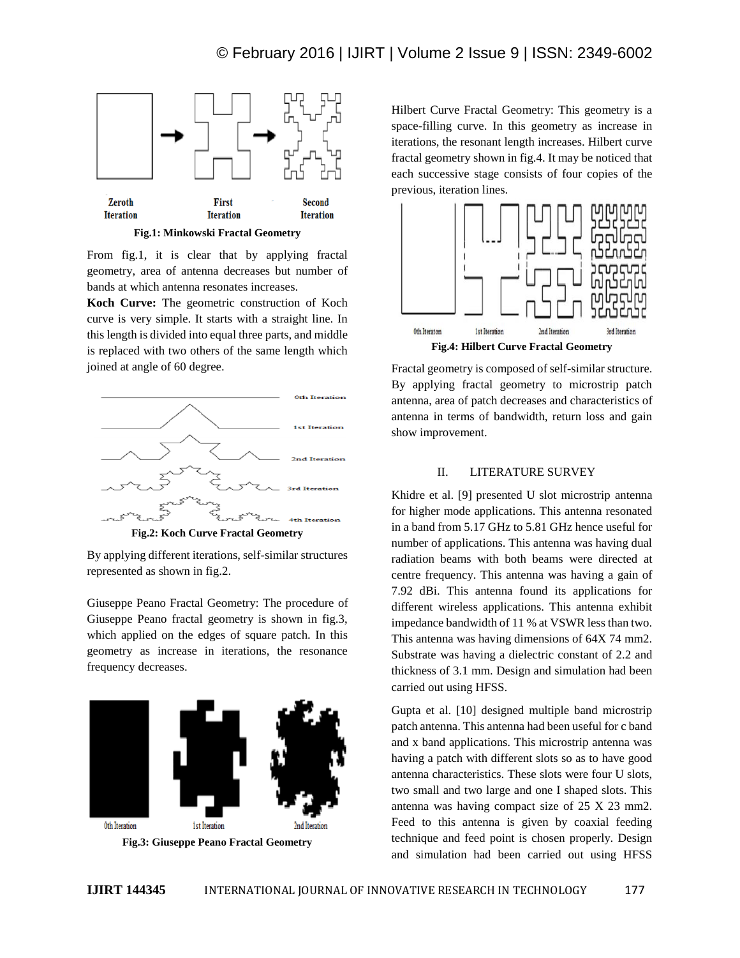

**Fig.1: Minkowski Fractal Geometry**

From fig.1, it is clear that by applying fractal geometry, area of antenna decreases but number of bands at which antenna resonates increases.

**Koch Curve:** The geometric construction of Koch curve is very simple. It starts with a straight line. In this length is divided into equal three parts, and middle is replaced with two others of the same length which joined at angle of 60 degree.



**Fig.2: Koch Curve Fractal Geometry**

By applying different iterations, self-similar structures represented as shown in fig.2.

Giuseppe Peano Fractal Geometry: The procedure of Giuseppe Peano fractal geometry is shown in fig.3, which applied on the edges of square patch. In this geometry as increase in iterations, the resonance frequency decreases.



Hilbert Curve Fractal Geometry: This geometry is a space-filling curve. In this geometry as increase in iterations, the resonant length increases. Hilbert curve fractal geometry shown in fig.4. It may be noticed that each successive stage consists of four copies of the previous, iteration lines.



Fractal geometry is composed of self-similar structure. By applying fractal geometry to microstrip patch antenna, area of patch decreases and characteristics of antenna in terms of bandwidth, return loss and gain show improvement.

#### II. LITERATURE SURVEY

Khidre et al. [9] presented U slot microstrip antenna for higher mode applications. This antenna resonated in a band from 5.17 GHz to 5.81 GHz hence useful for number of applications. This antenna was having dual radiation beams with both beams were directed at centre frequency. This antenna was having a gain of 7.92 dBi. This antenna found its applications for different wireless applications. This antenna exhibit impedance bandwidth of 11 % at VSWR less than two. This antenna was having dimensions of 64X 74 mm2. Substrate was having a dielectric constant of 2.2 and thickness of 3.1 mm. Design and simulation had been carried out using HFSS.

Gupta et al. [10] designed multiple band microstrip patch antenna. This antenna had been useful for c band and x band applications. This microstrip antenna was having a patch with different slots so as to have good antenna characteristics. These slots were four U slots, two small and two large and one I shaped slots. This antenna was having compact size of 25 X 23 mm2. Feed to this antenna is given by coaxial feeding technique and feed point is chosen properly. Design and simulation had been carried out using HFSS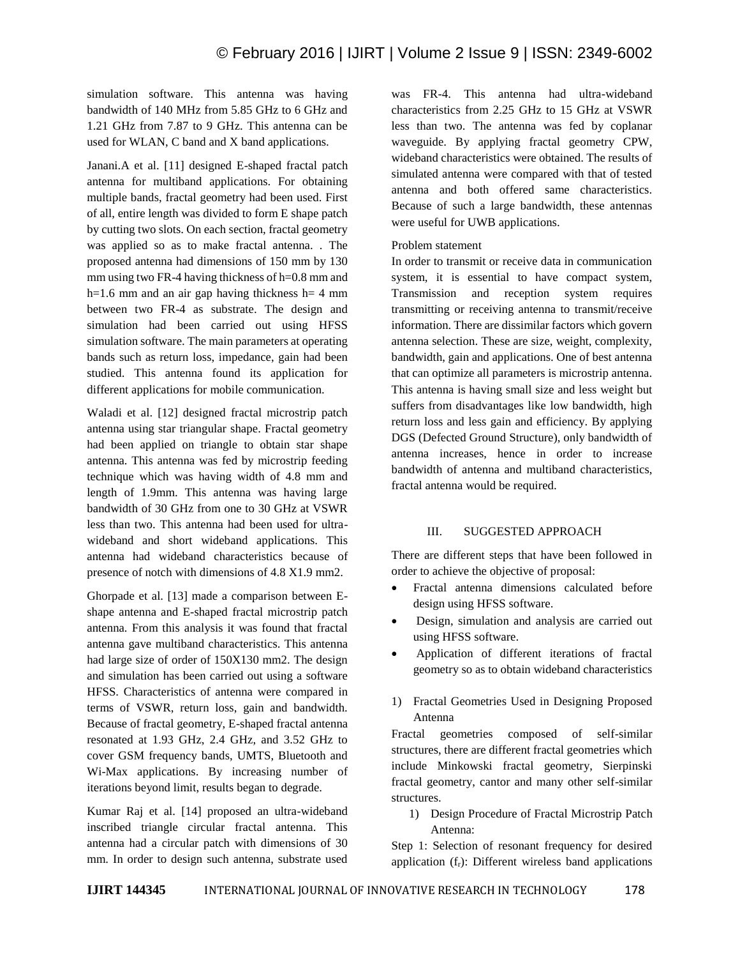simulation software. This antenna was having bandwidth of 140 MHz from 5.85 GHz to 6 GHz and 1.21 GHz from 7.87 to 9 GHz. This antenna can be used for WLAN, C band and X band applications.

Janani.A et al. [11] designed E-shaped fractal patch antenna for multiband applications. For obtaining multiple bands, fractal geometry had been used. First of all, entire length was divided to form E shape patch by cutting two slots. On each section, fractal geometry was applied so as to make fractal antenna. . The proposed antenna had dimensions of 150 mm by 130 mm using two FR-4 having thickness of h=0.8 mm and h=1.6 mm and an air gap having thickness  $h=4$  mm between two FR-4 as substrate. The design and simulation had been carried out using HFSS simulation software. The main parameters at operating bands such as return loss, impedance, gain had been studied. This antenna found its application for different applications for mobile communication.

Waladi et al. [12] designed fractal microstrip patch antenna using star triangular shape. Fractal geometry had been applied on triangle to obtain star shape antenna. This antenna was fed by microstrip feeding technique which was having width of 4.8 mm and length of 1.9mm. This antenna was having large bandwidth of 30 GHz from one to 30 GHz at VSWR less than two. This antenna had been used for ultrawideband and short wideband applications. This antenna had wideband characteristics because of presence of notch with dimensions of 4.8 X1.9 mm2.

Ghorpade et al. [13] made a comparison between Eshape antenna and E-shaped fractal microstrip patch antenna. From this analysis it was found that fractal antenna gave multiband characteristics. This antenna had large size of order of 150X130 mm2. The design and simulation has been carried out using a software HFSS. Characteristics of antenna were compared in terms of VSWR, return loss, gain and bandwidth. Because of fractal geometry, E-shaped fractal antenna resonated at 1.93 GHz, 2.4 GHz, and 3.52 GHz to cover GSM frequency bands, UMTS, Bluetooth and Wi-Max applications. By increasing number of iterations beyond limit, results began to degrade.

Kumar Raj et al. [14] proposed an ultra-wideband inscribed triangle circular fractal antenna. This antenna had a circular patch with dimensions of 30 mm. In order to design such antenna, substrate used was FR-4. This antenna had ultra-wideband characteristics from 2.25 GHz to 15 GHz at VSWR less than two. The antenna was fed by coplanar waveguide. By applying fractal geometry CPW, wideband characteristics were obtained. The results of simulated antenna were compared with that of tested antenna and both offered same characteristics. Because of such a large bandwidth, these antennas were useful for UWB applications.

#### Problem statement

In order to transmit or receive data in communication system, it is essential to have compact system, Transmission and reception system requires transmitting or receiving antenna to transmit/receive information. There are dissimilar factors which govern antenna selection. These are size, weight, complexity, bandwidth, gain and applications. One of best antenna that can optimize all parameters is microstrip antenna. This antenna is having small size and less weight but suffers from disadvantages like low bandwidth, high return loss and less gain and efficiency. By applying DGS (Defected Ground Structure), only bandwidth of antenna increases, hence in order to increase bandwidth of antenna and multiband characteristics, fractal antenna would be required.

## III. SUGGESTED APPROACH

There are different steps that have been followed in order to achieve the objective of proposal:

- Fractal antenna dimensions calculated before design using HFSS software.
- Design, simulation and analysis are carried out using HFSS software.
- Application of different iterations of fractal geometry so as to obtain wideband characteristics
- 1) Fractal Geometries Used in Designing Proposed Antenna

Fractal geometries composed of self-similar structures, there are different fractal geometries which include Minkowski fractal geometry, Sierpinski fractal geometry, cantor and many other self-similar structures.

1) Design Procedure of Fractal Microstrip Patch Antenna:

Step 1: Selection of resonant frequency for desired application  $(f_r)$ : Different wireless band applications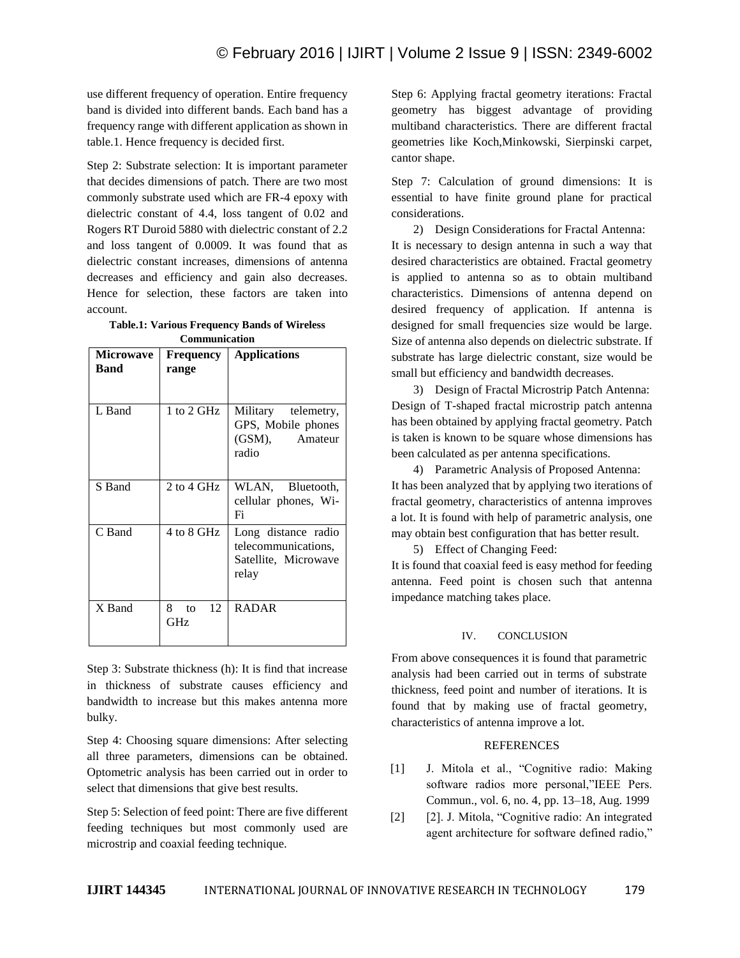use different frequency of operation. Entire frequency band is divided into different bands. Each band has a frequency range with different application as shown in table.1. Hence frequency is decided first.

Step 2: Substrate selection: It is important parameter that decides dimensions of patch. There are two most commonly substrate used which are FR-4 epoxy with dielectric constant of 4.4, loss tangent of 0.02 and Rogers RT Duroid 5880 with dielectric constant of 2.2 and loss tangent of 0.0009. It was found that as dielectric constant increases, dimensions of antenna decreases and efficiency and gain also decreases. Hence for selection, these factors are taken into account.

|                      | <b>Table.1: Various Frequency Bands of Wireless</b> |  |  |
|----------------------|-----------------------------------------------------|--|--|
| <b>Communication</b> |                                                     |  |  |

| <b>Microwave</b><br>Band | <b>Frequency</b><br>range | <b>Applications</b>                                                         |
|--------------------------|---------------------------|-----------------------------------------------------------------------------|
| L Band                   | 1 to 2 GHz                | Military telemetry,<br>GPS, Mobile phones<br>(GSM),<br>Amateur<br>radio     |
| S Band                   | 2 to 4 GHz                | WLAN, Bluetooth,<br>cellular phones, Wi-<br>Fi                              |
| C Band                   | 4 to 8 GHz                | Long distance radio<br>telecommunications,<br>Satellite, Microwave<br>relay |
| X Band                   | 12<br>8.<br>to<br>GHz     | <b>RADAR</b>                                                                |

Step 3: Substrate thickness (h): It is find that increase in thickness of substrate causes efficiency and bandwidth to increase but this makes antenna more bulky.

Step 4: Choosing square dimensions: After selecting all three parameters, dimensions can be obtained. Optometric analysis has been carried out in order to select that dimensions that give best results.

Step 5: Selection of feed point: There are five different feeding techniques but most commonly used are microstrip and coaxial feeding technique.

Step 6: Applying fractal geometry iterations: Fractal geometry has biggest advantage of providing multiband characteristics. There are different fractal geometries like Koch,Minkowski, Sierpinski carpet, cantor shape.

Step 7: Calculation of ground dimensions: It is essential to have finite ground plane for practical considerations.

2) Design Considerations for Fractal Antenna: It is necessary to design antenna in such a way that desired characteristics are obtained. Fractal geometry is applied to antenna so as to obtain multiband characteristics. Dimensions of antenna depend on desired frequency of application. If antenna is designed for small frequencies size would be large. Size of antenna also depends on dielectric substrate. If substrate has large dielectric constant, size would be small but efficiency and bandwidth decreases.

3) Design of Fractal Microstrip Patch Antenna: Design of T-shaped fractal microstrip patch antenna has been obtained by applying fractal geometry. Patch is taken is known to be square whose dimensions has been calculated as per antenna specifications.

4) Parametric Analysis of Proposed Antenna: It has been analyzed that by applying two iterations of fractal geometry, characteristics of antenna improves a lot. It is found with help of parametric analysis, one may obtain best configuration that has better result.

5) Effect of Changing Feed:

It is found that coaxial feed is easy method for feeding antenna. Feed point is chosen such that antenna impedance matching takes place.

## IV. CONCLUSION

From above consequences it is found that parametric analysis had been carried out in terms of substrate thickness, feed point and number of iterations. It is found that by making use of fractal geometry, characteristics of antenna improve a lot.

## **REFERENCES**

- [1] J. Mitola et al., "Cognitive radio: Making software radios more personal,"IEEE Pers. Commun., vol. 6, no. 4, pp. 13–18, Aug. 1999
- [2] [2]. J. Mitola, "Cognitive radio: An integrated agent architecture for software defined radio,"